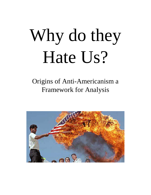# Why do they Hate Us?

Origins of Anti-Americanism a Framework for Analysis

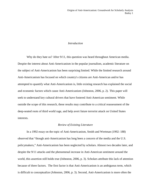## *Introduction*

Why do they hate us? After 9/11, this question was heard throughout American media. Despite the interest about Anti-Americanism in the popular journalism, academic literature on the subject of Anti-Americanism has been surprising limited. While the limited research around Anti-Americanism has focused on which country's citizens are Anti-American and/or has attempted to quantify what Anti-Americanism is, little existing research has explained the social and economic factors which cause Anti-Americanism (Johnston, 2006, p. 2). This paper will seek to understand key cultural drivers that have fostered Anti-American sentiment. While outside the scope of this research, these results may contribute to a critical reassessment of the deep-seated roots of third world rage, and help avert future terrorist attack on United States interests.

#### *Review of Existing Literature*

In a 1992 essay on the topic of Anti-Americanism, Smith and Wertman (1992: 188) observed that "though anti-Americanism has long been a concern of the media and the U.S. policymakers," Anti-Americanism has been neglected by scholars. Almost two decades later, and despite the 9/11 attacks and the phenomenal increase in Anti-American sentiment around the world, this assertion still holds true (Johnston, 2006, p. 3). Scholars attribute this lack of attention because of three factors. The first factor is that Anti-Americanism is an ambiguous term, which is difficult to conceptualize (Johnston, 2006, p. 3). Second, Anti-Americanism is more often the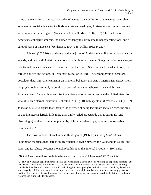name of the emotion that reacts to a series of events than a definition of the events themselves. Where other social science topics finds analysts and analogies, Anti-Americanism must contend with crusaders for and against (Johnston, 2006, p. 3; Miller, 1982, p. 3). The final factor is Americans collective amnesia, the human tendency to shift blame to handy abstractions, and a cultural sense of innocence (McPherson, 2004, 148; Miller, 1982, p. 253).

Johnson (2006:10) postulates that the majority of Anti-American literature clearly has an agenda, and nearly all Anti-American scholars fall into two camps. One group of scholars argues that United States policies are to blame and that the United States is hated for what it *does,* its foreign policies and actions, an "external" causation (p. 10). The second group of scholars, postulates that Anti-Americanism is an irrational behavior, that Anti-Americanism derives from the psychological, cultural, or political aspects of the nation whose citizens exhibit Anti-Americanism. These authors surmise that citizens of other countries hate the United States for what it *is*, an "internal" causation. (Johnston, 2006, p. 10; Schlapentokh & Woods, 2004, p. 167). Johnston (2006: 5) argues that "despite the pretense of being legitimate social science, the bulk of this literature is largely little more than thinly veiled propaganda that is strikingly (and disturbingly) similar to literature put out by right-wing advocacy groups and conservative commentators."[1](#page-2-0)

The most famous internal view is Huntington's (1996:15) *Clash of Civilizations*. Huntington theorizes that there is an irreconcilable divide between the West and its values, and Islam and its values. Recent scholarship builds upon this internal hypothesis. Hollander

<span id="page-2-0"></span><sup>&</sup>lt;sup>1</sup> "Not all 3 sources could have said this indicate which source quoted" Johnston on (2006:5) said this.

<sup>&</sup>quot;Usually only include page number in internal cite when using a direct quote or referring to a specific example" But this makes it more difficult for the next researcher to find the information. If you want to dock me for coloring outside the lines because tradition is stupid, and taking initiative, going beyond what needs to be done, then that is your purgative. If I were to submit this to a peer reviewed journal, I would delete these numbers simply because tradition demands it, but since I am going to use this paper for my own personal research in the future, I find more research and citing is better than less.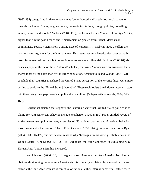(1992:334) categorizes Anti-Americanism as "an unfocused and largely irrational…aversion towards the United States, its government, domestic institutions, foreign policies, prevailing values, culture, and people." Vedrine (2004: 119), the former French Minister of Foreign Affairs, argues that, "In the past, French anti-Americanism originated from French Marxists or communists. Today, it stems from a strong dose of jealousy…". Fabbrini (2002:3) offers the most nuanced argument for the internal view. He argues that anti-Americanism does actually result from external reasons, but domestic reasons are more influential. Fabbrini (2004:79) also echoes a popular theme of those "internal" scholars, that Anti-Americanism are irrational fears, shared more by the elites than by the larger population. Schlapentokh and Woods (2004:173) conclude that "countries that shared the United States perception of the terrorist threat were more willing to evaluate the [United States] favorably". These sociologists break down internal factors into three categories, psychological, political, and cultural (Shlapentokh & Woods, 2004, 168- 169).

Current scholarship that supports the "external" view that United States policies is to blame for Anti-American behavior include McPherson's (2004: 150) paper entitled *Myths of Anti-Americanism*, points to many examples of US policies creating anti-American behavior, most prominently the loss of Cuba to Fidel Castro in 1959. Using numerous anecdotes Ryan (2004: 113, 116-122) outlines several reasons why Nicaragua, in his view, justifiably hates the United States. Kim (2002:110-112, 118-120) takes the same approach in explaining why Korean Anti-Americanism has increased.

As Johnston (2006: 10, 14) argues, most literature on Anti-Americanism has an obvious shortcoming because anti-Americanism is primarily explained by a monolithic causal factor, either anti-Americanism is "emotive of rational, either internal or external, either based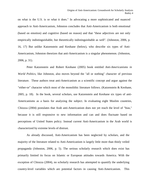on what is the U.S. is or what it does." In advocating a more sophisticated and nuanced approach to Anti-Americanism, Johnston concludes that Anti-Americanism is both emotional (based on emotion) and cognitive (based on reason) and that "these adjectives are not only empirically indistinguishable, but theoretically indistinguishable as well". (Johnston, 2006, p. 16, 17) But unlike Katzenstein and Keohane (below), who describe six types of Anti-Americanism, Johnston theorizes that anti-Americanism is a singular phenomenon. (Johnston, 2006, p. 31).

Peter Katzenstein and Robert Keohane (2005) book entitled *Anti-Americanisms in World Politics*, like Johnston, also moves beyond the "all or nothing" character of previous literature. These authors treat anti-Americanism as a scientific concept and argue against the "either-or" character which most of the monolithic literature follows. (Katzenstein & Keohane, 2005, p. 18). In the book, several scholars, use Katzenstein and Keohane six types of anti-Americanisms as a basis for analyzing the subject. In evaluating eight Muslim countries, Chiozza (2004) postulates that Arab anti-Americanism does not yet reach the level of "bias," because it is still responsive to new information and can and does fluctuate based on perceptions of United States policy. Instead current Anti-Americanism in the Arab world is characterized by extreme levels of distrust.

As already discussed, Anti-Americanism has been neglected by scholars, and the majority of the literature related to Anti-Americanism is largely little more than thinly veiled propaganda (Johnston, 2006, p. 5). The serious scholarly research which does exist has primarily limited its focus on Islamic or European attitudes towards America. With the exception of Chiozza (2004), no scholarly research has attempted to quantify the underlying country-level variables which are potential factors in causing Anti-Americanism. This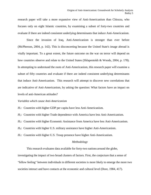research paper will take a more expansive view of Anti-Americanism than Chiozza, who focuses only on eight Islamic countries, by examining a subset of forty-two countries and evaluate if there are indeed consistent underlying determinants that induce Anti-Americanism.

Since the invasion of Iraq, Anti-Americanism is stronger than ever before (McPherson, 2004, p. 142). This is disconcerting because the United State's image abroad is vitally important. To a great extent, the future outcome on the war on terror will depend on how countries observe and relate to the United States (Shlapentokh & Woods, 2004, p. 178). In attempting to understand the roots of Anti-Americanism, this research paper will examine a subset of fifty countries and evaluate if there are indeed consistent underlying determinants that induce Anti-Americanism. This research will attempt to discover new correlations that are indicative of Anti-Americanism, by asking the question: What factors have an impact on levels of anti-American attitudes?

#### *Variables which cause Anti-Americanism*

*H<sub>1</sub>*: Countries with higher GDP per capita have less Anti-Americanism.

*H2:* Countries with higher Trade dependence with America have less Anti-Americanism.

*H3:* Countries with higher Economic Assistance from America have less Anti-Americanism.

*H4*: Countries with higher U.S. military assistance have higher Anti-Americanism.

*H5:* Countries with higher U.S. Troop presence have higher Anti-Americanism.

#### *Methodology*

This research evaluates data available for forty-two nations around the globe, investigating the impact of two broad clusters of factors. First, the conjecture that a sense of "fellow feeling" between individuals in different societies is more likely to emerge the more two societies interact and have contacts at the economic and cultural level (Dore, 1984, 417).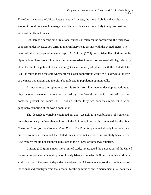Therefore, the more the United States trades and invests, the more likely it is that cultural and economic conditions would emerge in which individuals are more likely to express positive views of the United States.

But there is a second set of relational variables which can be considered: the forty-two countries under investigation differ in their military relationships with the United States. The levels of military cooperation vary sharply. As Chiozza (2004) posits, friendlier relations on the diplomatic/military front might be expected to translate into a closer sense of affinity, primarily at the levels of the political elites, who might see a similarity of interests with the United States. But it is much more debatable whether these closer connections would trickle down to the level of the mass population, and therefore be reflected in population opinion polls.

All economies are represented in this study, from low income developing nations to high income developed nations as defined by The World Factbook, using 2001 Gross domestic product per capita in US dollars. These forty-two countries represent a wide geography sampling of the world population.

The dependent variable examined in this research is a combination of somewhat favorable or very unfavorable opinion of the US in opinion polls conducted by the *Pew Research Center for the People and the Press.* The Pew study evaluated forty four countries, but two countries, China and the United States, were not included in this study because the Pew researchers did not ask these questions to the citizens of these two countries.

Chiozza (2004), in a much more limited study, investigated the perceptions of the United States in the population in eight predominantly Islamic countries. Building upon this work, this study use five of the seven independent variables from Chiozza to analyze the combinations of individual and country factors that account for the patterns of anti-Americanism in 42 countries,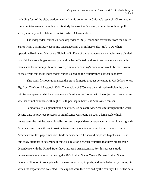including four of the eight predominantly Islamic countries in Chiozza's research. Chiozza other four countries are not including in this study because the Pew study conducted opinion poll surveys in only half of Islamic countries which Chiozza utilized.

The independent variables trade dependence  $(H_2)$ , economic assistance from the United States  $(H_3)$ , U.S. military economic assistance and U.S. military sales  $(H_4)$ , GDP where operationalized using Microcase Global.mc5. Each of these independent variables were divided by GDP because a larger economy would be less effected by these three independent variables then a smaller economy. In other words, a smaller economy's population would be more aware of the effects that these independent variables had on the country then a larger economy.

This study first operationalized the gross domestic product per capita in US dollars to test *H1,* from The World Factbook 2001. The median of 3700 was then utilized to divide the data into two samples on which an independent *t-*test was performed with the objective of concluding whether or not countries with higher GDP per Capita have less Anti-Americanism.

Paradoxically, as globalization has risen, so has anti-Americanism throughout the world, despite this, no previous research of significance was found on such a large scale which investigates the link between globalization and the positive consequences it has on lowering anti-Americanism. Since it is not possible to measure globalization directly and its role in anti-Americanism, this paper measures trade dependence. The second proposed hypothesis, *H2,* in this study attempts to determine if there is a relation between countries that have higher trade dependence with the United States have less Anti-Americanism. For this purpose, trade dependence is operationalized using the 2004 United States Census Bureau: United States Bureau of Economic Analysis which measures exports, imports, and trade balance by country, in which the exports were collected. The exports were then divided by the country's GDP. The data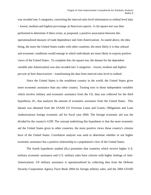was recoded into 3 categories, converting the interval-ratio level information to ordinal level data – *lowest, medium* and *highest percentage of American exports*. A chi-square test was then performed to determine if there exists, as proposed, a positive association between this operationalized measure of trade dependence and Anti-Americanism. As stated above, the idea being, the more the United States trades with other countries, the more likely it is that cultural and economic conditions would emerge in which individuals are more likely to express positive views of the United States. To complete this chi-square test, the dataset for the dependent variable anti-Americanism was also recoded into 3 categories – *lowest, medium* and *highest percent of Anti-Americanism* – transforming the data from interval-ratio level to ordinal.

Since the United States is the wealthiest country in the world, the United States gives more economic assistance than any other country. Turning next to those independent variables which involve military and economic assistance from the US, data was collected for the third hypothesis, *H3*, that analyzes the amount of economic assistance from the United States. This dataset was obtained from the USAID US Overseas Loans and Grants, Obligations and Loan Authorizations foreign economic aid for fiscal year 2004. The foreign economic aid was the divided by the country's GDP. The concept underlying this hypothesis is that the more economic aid the United States gives to other countries, the more positive views those country's citizens have of the United States. Correlation analysis was used to determine whether or not higher economic assistance has a positive relationship to a population's view of the United States.

The fourth hypothesis studied (*H4)* postulates that countries which receive higher U.S. military economic assistance and U.S. military sales have citizens with higher feelings of Anti-Americanism. US military assistance is operationalized by collecting data from the Defense Security Cooperation Agency Facts Book 2004 for foreign military sales, and the 2004 USAID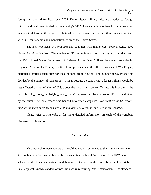foreign military aid for fiscal year 2004. United States military sales were added to foreign military aid, and then divided by the country's GDP. This variable was tested using correlation analysis to determine if a negative relationship exists between a rise in military sales, combined with U.S. military aid and a population's view of the United States.

The last hypothesis,  $H_5$  proposes that countries with higher U.S. troop presence have higher Anti-Americanism. The number of US troops is operationalized by utilizing data from the 2004 United States Department of Defense Active Duty Military Personnel Strengths by Regional Area and by Country for U.S. troop presence, and the 2001 Correlates of War Project, National Material Capabilities for local national troop figures. The number of US troops was divided by the number of local troops. This is because a country with a larger military would be less effected by the infusion of U.S. troops then a smaller country. To test this hypothesis, the variable "US\_troops\_divided\_by\_Local\_troops" representing the number of US troops divided by the number of local troops was banded into three categories (*low numbers of US troops, medium numbers of US troops,* and *high numbers of US troops*) and used in an ANOVA.

Please refer to *Appendix A* for more detailed information on each of the variables discussed in this section.

## *Study Results*

This research reviews factors that could potentially be related to the Anti-Americanism. A combination of somewhat favorable or very unfavorable opinion of the US by PEW was selected as the dependent variable, and therefore as the basis of this study, because this variable is a fairly well-known standard of measure used in measuring Anti-Americanism. The standard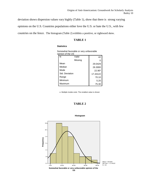deviation shows dispersion values vary highly (Table 1), show that there is strong varying

opinions on the U.S. Countries populations either love the U.S. or hate the U.S., with few

countries on the fence. The histogram (Table 2) exhibits a positive, or rightward skew.

## **TABLE 1**

#### **Statistics**

| טט סוו ווטוו שנ |         |           |
|-----------------|---------|-----------|
| N               | Valid   | 42        |
|                 | Missing | 0         |
| Mean            |         | 29.0429   |
| Median          |         | 26.3000   |
| Mode            |         | $22.90^a$ |
| Std. Deviation  |         | 17.43122  |
| Range           |         | 70.10     |
| Minimum         |         | 5.20      |
| Maximum         |         | 75.30     |

Somewhat favorable or very unfavorable opinion of the US

a Multiple modes exist. The smallest value is shown

#### **TABLE 2**



#### **Histogram**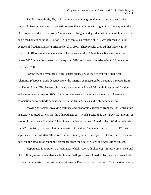The first hypothesis,  $H<sub>1</sub>$ , seeks to understand how gross domestic product per capita impact Anti-Americanism. Expectations were that countries with higher GDP per capita to the U.S. dollar would have less Anti-Americanism. Using an independent *t*-test, an *n* of 42 countries and a median cut point of 3700 for GDP per capita, a *t* statistic of .256 was returned with 40 degrees of freedom and a significance level of .800. These results showed that there was no statistical difference in average levels of hatred toward the United States between country's whose GDP per capita greater than or equal to 3700 and those countries with GDP per capita less than 3700.

For the second hypothesis, a chi-square analysis was used to test for a significant relationship between trade dependence with America, as measured by a country's exports from the United States. The Pearson chi-square value returned was 8.571 with 4 degrees of freedom and a significance level of .073. Therefore, the research hypothesis is rejected. There is no association between trade dependence with the United States and Anti-Americanism.

Moving to factors involving military and economic assistance from the US, correlation analysis was used to test the third hypothesis  $H_3$ , which posits that the larger the amount of economic assistance from the United States, the lower the Anti-Americanism. Working with data for 42 countries, the correlation analysis returned a Pearson's coefficient of .129 with a significance level of .416. Therefore, the research hypothesis is rejected. There is no association between the amount of economic assistance from the United States and Anti-Americanism.

Hypothesis four states that countries which receive higher U.S. military assistance and U.S. military sales have citizens with higher feelings of Anti-Americanism, was also tested with correlation analysis. The test results returned a Pearson's coefficient of .619 at a significance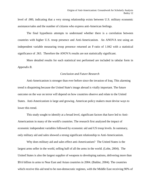level of .000, indicating that a very strong relationship exists between U.S. military economic assistance/sales and the number of citizens who express anti-American feelings.

The final hypothesis attempts to understand whether there is a correlation between countries with higher U.S. troop presence and Anti-Americanism. An ANOVA test using an independent variable measuring troop presence returned an F-ratio of 1.042 with a statistical significance of .363. Therefore the ANOVA results are not statistically significant.

More detailed results for each statistical test performed are included in tabular form in *Appendix B*.

#### *Conclusion and Future Research*

Anti-Americanism is stronger than ever before since the invasion of Iraq. This alarming trend is disquieting because the United State's image abroad is vitally important. The future outcome on the war on terror will depend on how countries observe and relate to the United States. Anti-Americanism is large and growing. American policy makers must devise ways to lower this trend.

This study sought to identify at a broad level, significant factors that have led to Anti-Americanism in many of the world's countries. The research first analyzed the impact of economic independent variables followed by economic aid and US troop levels. In summary, only military aid and sales showed a strong significant relationship to Anti-Americanism.

Why does military aid and sales effect anti-Americanism? The United States is the largest arms seller in the world, selling half of all the arms in the world. (Lobe, 2004). The United States is also the largest supplier of weapons to developing nations, delivering more than \$9.6 billion in arms to Near East and Asian countries in 2004. (Baldor, 2004). The countries which receive this aid tend to be non-democratic regimes, with the Middle East receiving 90% of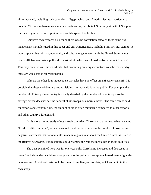all military aid, including such countries as Egypt, which anti-Americanism was particularly notable. Citizens in these non-democratic regimes may attribute US military aid with US support for these regimes. Future opinion polls could explore this further.

Chiozza's own research also found there was no correlation between these same five independent variables used in this paper and anti-Americanism, including military aid, stating, "it would appear that military, economic, and cultural engagements with the United States is not itself sufficient to create a political contest within which anti-Americanism does not flourish". This may because, as Chiozza admits, that examining only eight countries was the reason why there are weak statistical relationships.

Why do the other four independent variables have no effect on anti-Americanism? It is possible that these variables are not as visible as military aid is to the public. For example, the number of US troops in a country is usually dwarfed by the number of local troops, so the average citizen does not see the handful of US troops on a normal basis. The same can be said for exports and economic aid, the amount of aid is often minuscule compared to other exports and other country's foreign aid.

In his more limited study of eight Arab countries, Chiozza also examined what he called "Pro-U.S. elite discourse", which measured the difference between the number of positive and negative statements that national elites made in a given year about the United States, as listed in the Reuters newswires. Future studies could examine the role the media has in these countries.

The data examined here was for one year only. Correlating increases and decreases in these five independent variables, as opposed too the point in time approach used here, might also be revealing. Additional tests could be run utilizing five years of data, as Chiozza did in this own study.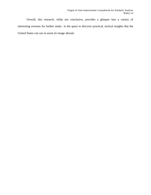Overall, this research, while not conclusive, provides a glimpse into a variety of interesting avenues for further study– in the quest to discover practical, tactical insights that the United States can use to assist its image abroad.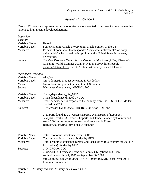# *Appendix A – Codebook*

Cases: 42 countries representing all economies are represented, from low income developing nations to high income developed nations.

| Dependent            |                                                                                                                                                                                                                                                       |
|----------------------|-------------------------------------------------------------------------------------------------------------------------------------------------------------------------------------------------------------------------------------------------------|
| Variable             |                                                                                                                                                                                                                                                       |
| Variable Name:       | Hatred                                                                                                                                                                                                                                                |
| Variable Label:      | Somewhat unfavorable or very unfavorable opinion of the US                                                                                                                                                                                            |
| Measured:            | Percent of population that responded "somewhat unfavorable" or "very<br>unfavorable" when asked their opinion on the United States in a survey of<br>42 countries.                                                                                    |
| Source:              | The Pew Research Center for the People and the Press [PEW] Views of a<br>Changing World, Summer 2002, 44-Nation Survey http://people-<br>press.org/dataarchive/ Pew GAP final 44 country dataset 1.1sav.sav                                           |
| Independent Variable |                                                                                                                                                                                                                                                       |
| Variable Name:       | gdp@cap                                                                                                                                                                                                                                               |
| Variable Label:      | Gross domestic product per capita in US dollars                                                                                                                                                                                                       |
| Measured:            | Gross domestic product per capita in US dollars                                                                                                                                                                                                       |
| Source:              | Microcase Global.mc4, [MICRO], 2001                                                                                                                                                                                                                   |
| Variable Name:       | Trade_dependence_div_GDP                                                                                                                                                                                                                              |
| Variable Label:      | Trade dependence divided by GDP                                                                                                                                                                                                                       |
| Measured:            | Trade dependence is exports to the country from the U.S. in U.S. dollars,<br>divided by GDP.                                                                                                                                                          |
| Sources:             | 1. Microcase Global.mc5, [MICRO], 2005 for GDP, and                                                                                                                                                                                                   |
|                      | 2. Exports found at U.S. Census Bureau, U.S. Bureau of Economic<br>Analysis, Exhibit 13. Exports, Imports, and Trade Balance by Country and<br>Area: 2004 at http://www.census.gov/foreign-trade/Press-<br>Release/2004pr/final_revisions/04final.pdf |
| Variable Name:       | Total_economic_assistance_over_GDP                                                                                                                                                                                                                    |
| Variable Label:      | Total economic assistance divided by GDP                                                                                                                                                                                                              |
| Measured:            | Total economic assistance (grants and loans given to a country for 2004 in                                                                                                                                                                            |
|                      | U.S. dollars) divided by GDP                                                                                                                                                                                                                          |
| Sources:             | 1. MICRO for GDP                                                                                                                                                                                                                                      |
|                      | 2. USAID US Overseas Loans and Grants, Obligations and Loan                                                                                                                                                                                           |
|                      | Authorizations, July 1, 1945 to September 30, 2004.                                                                                                                                                                                                   |
|                      | http://pdf.usaid.gov/pdf_docs/PNADF100.pdf [USAID] fiscal year 2004                                                                                                                                                                                   |
|                      | foreign economic aid.                                                                                                                                                                                                                                 |
| Variable<br>Name:    | Military_aid_and_Military_sales_over_GDP                                                                                                                                                                                                              |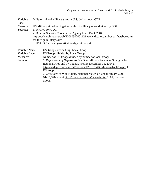| Variable        | Military aid and Military sales in U.S. dollars, over GDP                     |  |  |  |  |  |  |
|-----------------|-------------------------------------------------------------------------------|--|--|--|--|--|--|
| Label:          |                                                                               |  |  |  |  |  |  |
| Measured:       | US Military aid added together with US military sales, divided by GDP         |  |  |  |  |  |  |
| Sources:        | 1. MICRO for GDP,                                                             |  |  |  |  |  |  |
|                 | 2. Defense Security Cooperation Agency Facts Book 2004                        |  |  |  |  |  |  |
|                 | http://web.archive.org/web/20060502001121/www.dsca.osd.mil/dsca_factsbook.htm |  |  |  |  |  |  |
|                 | for foreign military sales                                                    |  |  |  |  |  |  |
|                 | 3. USAID for fiscal year 2004 foreign military aid.                           |  |  |  |  |  |  |
|                 |                                                                               |  |  |  |  |  |  |
| Variable Name:  | US_troops_divided_by_Local_troops                                             |  |  |  |  |  |  |
| Variable Label: | US Troops divided by Local Troops                                             |  |  |  |  |  |  |
| Measured:       | Number of US troops divided by number of local troops.                        |  |  |  |  |  |  |
| Sources:        | 1. Department of Defense Active Duty Military Personnel Strengths by          |  |  |  |  |  |  |
|                 | Regional Area and by Country (309a), December 31, 2004 at                     |  |  |  |  |  |  |
|                 | http://siadapp.dior.whs.mil/personnel/MILITARY/history/hst1204.pdf for        |  |  |  |  |  |  |
|                 | US troops                                                                     |  |  |  |  |  |  |
|                 | 2. Correlates of War Project, National Material Capabilities (v3.02),         |  |  |  |  |  |  |
|                 | NMC_3.02.csv at http://cow2.la.psu.edu/datasets.htm 2001, for local           |  |  |  |  |  |  |
|                 | troops.                                                                       |  |  |  |  |  |  |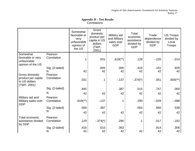## *Appendix B – Test Results* Correlations

|                                                       |                        | Somewhat<br>favorable or<br>very<br>unfavorable<br>opinion of<br>the US | Gross<br>domestic<br>product per<br>capita in US<br>dollars<br>(TWF,<br>2001) | Military aid<br>and Military<br>sales over<br><b>GDP</b> | Total<br>economic<br>assistance<br>divided by<br><b>GDP</b> | Trade<br>dependence<br>divided by<br><b>GDP</b> | <b>US Troops</b><br>divided by<br>Local<br>Troops |
|-------------------------------------------------------|------------------------|-------------------------------------------------------------------------|-------------------------------------------------------------------------------|----------------------------------------------------------|-------------------------------------------------------------|-------------------------------------------------|---------------------------------------------------|
| Somewhat<br>favorable or very<br>unfavorable          | Pearson<br>Correlation | 1                                                                       | .031                                                                          | $.619$ <sup>**</sup> )                                   | .129                                                        | $-220$                                          | $-0.014$                                          |
| opinion of the US                                     | Sig. (2-tailed)<br>N   | 42                                                                      | .845<br>42                                                                    | .000<br>42                                               | .416<br>42                                                  | .161<br>42                                      | .929<br>42                                        |
| Gross domestic<br>product per capita<br>in US dollars | Pearson<br>Correlation | .031                                                                    | 1                                                                             | $-137$                                                   | $-.374(*)$                                                  | .051                                            | $.600$ <sup>(**</sup> )                           |
| (TWF, 2001)                                           | Sig. (2-tailed)        | .845                                                                    |                                                                               | .387                                                     | .015                                                        | .747                                            | .000                                              |
|                                                       | N                      | 42                                                                      | 42                                                                            | 42                                                       | 42                                                          | 42                                              | 42                                                |
| Military aid and<br>Military sales over<br><b>GDP</b> | Pearson<br>Correlation | $.619$ <sup>**</sup> )                                                  | $-137$                                                                        | 1                                                        | .290                                                        | $-0.029$                                        | $-0.098$                                          |
|                                                       | Sig. (2-tailed)        | .000                                                                    | .387                                                                          |                                                          | .063                                                        | .856                                            | .538                                              |
|                                                       | N                      | 42                                                                      | 42                                                                            | 42                                                       | 42                                                          | 42                                              | 42                                                |
| Total economic<br>assistance divided<br>by GDP        | Pearson<br>Correlation | .129                                                                    | $-.374(*)$                                                                    | .290                                                     |                                                             | .017                                            | $-162$                                            |
|                                                       | Sig. (2-tailed)<br>N   | .416<br>42                                                              | .015<br>42                                                                    | .063<br>42                                               | 42                                                          | .914<br>42                                      | .306<br>42                                        |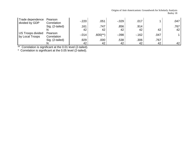## Origins of Anti-Americanism: Groundwork for Scholarly Analysis Bailey 18

| Trade dependence<br>divided by GDP   | Pearson<br>Correlation | $-220$   | .051                   | $-0.029$ | .017   |      | .047 |
|--------------------------------------|------------------------|----------|------------------------|----------|--------|------|------|
|                                      | Sig. (2-tailed)        | .161     | .747                   | .856     | .914   |      | .767 |
|                                      |                        | 42       | 42                     | 42       | 42     | 42   | 42   |
| US Troops divided<br>by Local Troops | Pearson<br>Correlation | $-0.014$ | $.600$ <sup>(**)</sup> | $-0.098$ | $-162$ | .047 |      |
|                                      | Sig. (2-tailed)        | .929     | .000                   | .538     | .306   | .767 |      |
|                                      |                        | 42       | 42                     | 42       | 42     | 42   | 42   |

\*\* Correlation is significant at the 0.01 level (2-tailed).

\* Correlation is significant at the 0.05 level (2-tailed).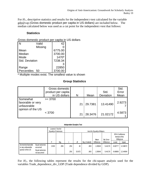For *H1,* descriptive statistics and results for the independent *t-*test calculated for the variable gdp@cap (Gross domestic product per capita in US dollars) are included below. The median calculated below was used as a cut point for the independent *t*-test that follows:

## **Statistics**

Gross domestic product per capita in US dollars

| l N            | Valid   | 42                |  |
|----------------|---------|-------------------|--|
|                | Missing |                   |  |
| Mean           |         | 6775.00           |  |
| Median         |         | 3700.00           |  |
| Mode           |         | 1470 <sup>a</sup> |  |
| Std. Deviation |         | 7238.34           |  |
|                |         | З                 |  |
| Range          |         | 22850             |  |
| Percentiles    | 50      | 3700.00           |  |

a Multiple modes exist. The smallest value is shown

# **Group Statistics**

|                                                                   | Gross domestic<br>product per capita<br>in US dollars | N  | Mean    | Std.<br>Deviation | Std.<br>Error<br>Mean |
|-------------------------------------------------------------------|-------------------------------------------------------|----|---------|-------------------|-----------------------|
| Somewhat<br>favorable or very<br>unfavorable<br>opinion of the US | $>= 3700$                                             | 21 | 29.7381 | 13.41490          | 2.9273                |
|                                                                   | < 3700                                                | 21 | 28.3476 | 21.02172          | 4.5873                |

#### **Independent Samples Test**

| Levene's Test for<br>Equality of Variances |                               |       | t-test for Equality of Means |      |        |                 |            |            |                                                 |          |
|--------------------------------------------|-------------------------------|-------|------------------------------|------|--------|-----------------|------------|------------|-------------------------------------------------|----------|
|                                            |                               |       |                              |      |        |                 | Mean       | Std. Error | 95% Confidence<br>Interval of the<br>Difference |          |
|                                            |                               | F     | Sig.                         |      | df     | Sig. (2-tailed) | Difference | Difference | Lower                                           | Upper    |
| Somewhat favorable<br>or very unfavorable  | Equal variances<br>assumed    | 2.903 | .096                         | .256 | 40     | .800            | 1.39048    | 5.44178    | $-9.60777$                                      | 12.38872 |
| opinion of the US                          | Equal variances<br>notassumed |       |                              | .256 | 33.972 | .800            | 1.39048    | 5.44178    | $-9.66888$                                      | 12.44984 |

For *H2*, the following tables represent the results for the chi-square analysis used for the variables Trade\_dependence\_div\_GDP (Trade dependence divided by GDP).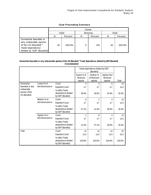## **Case Processing Summary**

|                                                                                                                          | Valid |         | Missing |         | Total |         |
|--------------------------------------------------------------------------------------------------------------------------|-------|---------|---------|---------|-------|---------|
|                                                                                                                          | N     | Percent | N       | Percent | N     | Percent |
| Somewhat favorable or<br>very unfavorable opinion<br>of the US (Banded) *<br>Trade dependence<br>divided by GDP (Banded) | 42    | 100.0%  | 0       | $.0\%$  | 42    | 100.0%  |

#### **Somewhat favorable or very unfavorable opinion of the US (Banded) \* Trade dependence divided by GDP (Banded) Crosstabulation**

|                                              |                  |                                                         | Trade dependence divided by GDP<br>(Banded) |                         |                        |        |
|----------------------------------------------|------------------|---------------------------------------------------------|---------------------------------------------|-------------------------|------------------------|--------|
|                                              |                  |                                                         | lowest % of<br>American                     | medium %<br>of American | highest%of<br>American |        |
|                                              |                  |                                                         | exports                                     | exports                 | exports                | Total  |
| Somewhat                                     | Lowest% of       | Count                                                   | 4                                           | 4                       | 6                      | 14     |
| favorable or very                            | Anti-Americanism | <b>Expected Count</b>                                   | 4.7                                         | 4.7                     | 4.7                    | 14.0   |
| unfavorable<br>opinion of the<br>US (Banded) |                  | % within Trade<br>dependence divided<br>by GDP (Banded) | 28.6%                                       | 28.6%                   | 42.9%                  | 33.3%  |
|                                              | Medium % of      | Count                                                   | 8                                           | $\overline{2}$          | 4                      | 14     |
|                                              | Anti-Americanism | <b>Expected Count</b>                                   | 4.7                                         | 4.7                     | 4.7                    | 14.0   |
|                                              |                  | % within Trade<br>dependence divided<br>by GDP (Banded) | 57.1%                                       | 14.3%                   | 28.6%                  | 33.3%  |
|                                              | Highest% of      | Count                                                   | $\overline{2}$                              | 8                       | 4                      | 14     |
|                                              | Anti-Americanism | <b>Expected Count</b>                                   | 4.7                                         | 4.7                     | 4.7                    | 14.0   |
|                                              |                  | % within Trade<br>dependence divided<br>by GDP (Banded) | 14.3%                                       | 57.1%                   | 28.6%                  | 33.3%  |
| Total                                        |                  | Count                                                   | 14                                          | 14                      | 14                     | 42     |
|                                              |                  | <b>Expected Count</b>                                   | 14.0                                        | 14.0                    | 14.0                   | 42.0   |
|                                              |                  | % within Trade<br>dependence divided<br>by GDP (Banded) | 100.0%                                      | 100.0%                  | 100.0%                 | 100.0% |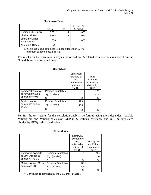|                                 | Value              | df | Asymp. Sig.<br>$(2-sided)$ |
|---------------------------------|--------------------|----|----------------------------|
| Pearson Chi-Square              | 8.571 <sup>a</sup> |    | .073                       |
| Likelihood Ratio                | 8.552              | 4  | .073                       |
| Linear-by-Linear<br>Association | .000               |    | 1.000                      |
| N of Valid Cases                | 42                 |    |                            |

#### **Chi-Square Tests**

a. 9 cells (100.0%) have expected count less than 5. The minimum expected count is 4.67.

The results for the correlation analysis performed on  $H_3$  related to economic assistance from the United States are presented next.

|                              |                            | Somewhat<br>favorable or<br>very<br>unfavorable<br>opinion of<br>the US | Total<br>economic<br>assistance<br>divided by<br><b>GDP</b> |
|------------------------------|----------------------------|-------------------------------------------------------------------------|-------------------------------------------------------------|
| Somewhat favorable           | Pearson Correlation        |                                                                         | .129                                                        |
| or very unfavorable          | Sig. (2-tailed)            |                                                                         | .416                                                        |
| opinion of the US            | N                          | 42                                                                      | 42                                                          |
| Total economic               | <b>Pearson Correlation</b> | .129                                                                    |                                                             |
| assistance divided<br>by GDP | Sig. (2-tailed)            | .416                                                                    |                                                             |
|                              | N                          | 42                                                                      | 42                                                          |

## **Correlations**

For  $H_4$ , the test results for the correlation analysis performed using the independent variable Military\_aid\_and\_Military\_sales\_over\_GDP (U.S. military assistance and U.S. military sales divided by GDP) is displayed below.

#### **Correlations**

|                                                                 |                            | Somewhat<br>favorable or<br>very<br>unfavorable<br>opinion of<br>the US | Military aid<br>and Military<br>sales over<br>GDP |
|-----------------------------------------------------------------|----------------------------|-------------------------------------------------------------------------|---------------------------------------------------|
| Somewhat favorable<br>or very unfavorable<br>opinion of the US  | <b>Pearson Correlation</b> |                                                                         | $.619**$                                          |
|                                                                 | Sig. (2-tailed)            |                                                                         | .000                                              |
|                                                                 | N                          | 42                                                                      | 42                                                |
| Military aid and Military Pearson Correlation<br>sales over GDP |                            | .619**                                                                  |                                                   |
|                                                                 | Sig. (2-tailed)            | .000                                                                    |                                                   |
|                                                                 | N                          | 42                                                                      | 42                                                |

\*\*. Correlation is significant at the 0.01 level (2-tailed).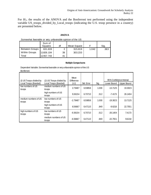For  $H_5$ , the results of the ANOVA and the Bonferroni test performed using the independent variable US\_troops\_divided\_by\_Local\_troops (indicating the U.S. troop presence in a country) are presented below.

#### **ANOVA**

| Somewhat favorable or very unfavorable opinion of the US |           |    |             |       |      |  |  |  |
|----------------------------------------------------------|-----------|----|-------------|-------|------|--|--|--|
|                                                          | Sum of    |    |             |       |      |  |  |  |
|                                                          | Squares   | df | Mean Square |       | Sig. |  |  |  |
| <b>Between Groups</b>                                    | 631.639   | 2  | 315.819     | 1.042 | .363 |  |  |  |
| Within Groups                                            | 11826.104 | 39 | 303.233     |       |      |  |  |  |
| Total                                                    | 12457.743 | 41 |             |       |      |  |  |  |

#### **Multiple Comparisons**

Dependent Variable: Somewhat favorable or very unfavorable opinion of the US Bonferroni

| (I) US Troops divided by<br>(J) US Troops divided by |                                | Mean<br>Difference |            |       | 95% Confidence Interval |             |
|------------------------------------------------------|--------------------------------|--------------------|------------|-------|-------------------------|-------------|
| Local Troops (Banded)                                | Local Troops (Banded)          | $(I-J)$            | Std. Error | Sig.  | Lower Bound             | Upper Bound |
| low numbers of US<br>troops                          | medium numbers of US<br>troops | 2.79487            | 6.59858    | 1.000 | $-13.7125$              | 19.3023     |
|                                                      | high numbers of US<br>troops   | 9.36154            | 6.70710    | .512  | $-7.4173$               | 26.1404     |
| medium numbers of US<br>troops                       | low numbers of US<br>troops    | $-2.79487$         | 6.59858    | 1.000 | $-19.3023$              | 13.7125     |
|                                                      | high numbers of US<br>troops   | 6.56667            | 6.47110    | .949  | $-9.6218$               | 22.7551     |
| high numbers of US<br>troops                         | low numbers of US<br>troops    | $-9.36154$         | 6.70710    | .512  | $-26.1404$              | 7.4173      |
|                                                      | medium numbers of US<br>troops | $-6.56667$         | 6.47110    | .949  | $-22.7551$              | 9.6218      |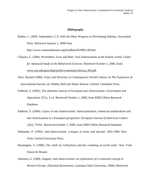## *Bibliography*

Baldor, L. (2005, September). U.S. Sells the Most Weapons to Developing Nations, Associated Press. Retrieved January 1, 2006 from

http://www.commondreams.org/headlines05/0901-08.htm.

- Chiozza, G. (2004, November). Love and Hate: Anti-Americanism in the Islamic world. *Center for Advanced Study in the Behavioral Sciences*. Retrieved October 1, 2006, from [www.nyu.edu/gsas/dept/politics/seminars/chiozza\\_f04.pdf.](http://www.nyu.edu/gsas/dept/politics/seminars/chiozza_f04.pdf)
- Dore, Ronald (1984). Unity and Diversity in Contemporary World Culture. In *The Expansion of International Society,* ed. Hedley Bull and Adam Watson. Oxford: Clarendon Press.
- Fabbrini, S. (2002). The domestic sources of European anti-Americanism. *Government and Opposition 37*(1), 3-14. Retrieved October 1, 2006, from EBSCOHost Research Database.
- Fabbrini, S. (2004). Layers of anti-Americanism: Americanization, American unilateralism and anti-Americanism in a European perspective. *European Journal of American Culture 23*(2), 79-94. Retrieved October 1, 2006, from EBSCOHost Research Database.
- Hollander, P. (1992). *Anti-Americanism: critiques at home and abroad, 1965-1990.* New York: Oxford University Press.
- Huntington, S. (1996). *The clash of civilizations and the remaking of world order*. New York: Simon & Shuster.
- Johnston, G. (2006, August). *Anti-Americanism: an exploration of a contested concept in Western Europe*. (Doctoral dissertation, Louisiana State University, 2006). Retrieved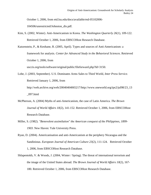October 1, 2006, from etd.lsu.edu/docs/available/etd-05102006-

104506/unrestricted/Johnston\_dis.pdf.

- Kim, S. (2002, Winter). Anti-Americanism in Korea. *The Washington Quarterly 26*(1), 109-122. Retrieved October 1, 2006, from EBSCOHost Research Database.
- Katzenstein, P., & Keohane, R. (2005, April). Types and sources of Anti-Americanism: a framework for analysis*. Center for Advanced Study in the Behavioral Sciences*. Retrieved October 1, 2006, from usccis.org/tools/software/original/public/fileforward.php?Id=3150.

Lobe, J. (2003, September). U.S. Dominates Arms Sales to Third World, *Inter Press Service*. Retrieved January 1, 2006, from http://web.archive.org/web/20040404065217/http://www.oneworld.org/ips2/jul98/23\_13  $\gtrsim$  097.html

- McPherson, A. (2004) Myths of anti-Americanism, the case of Latin America. *The Brown Journal of World Affairs 10*(2), 141-152. Retrieved October 1, 2006, from EBSCOHost Research Database.
- Miller, S. (1982). *"Benevolent assimilation" the American conquest of the Philippines, 1899- 1903.* New Haven: Yale University Press.
- Ryan, D. (2004). Americanisation and anti-Americanism at the periphery Nicaragua and the Sandinistas. *European Journal of American Culture 23*(2), 111-124. Retrieved October 1, 2006, from EBSCOHost Research Database.
- Shlapentokh, V. & Woods, J. (2004, Winter / Spring). The threat of international terrorism and the image of the United States abroad. *The Brown Journal of World Affairs 10*(2), 167- 180. Retrieved October 1, 2006, from EBSCOHost Research Database.